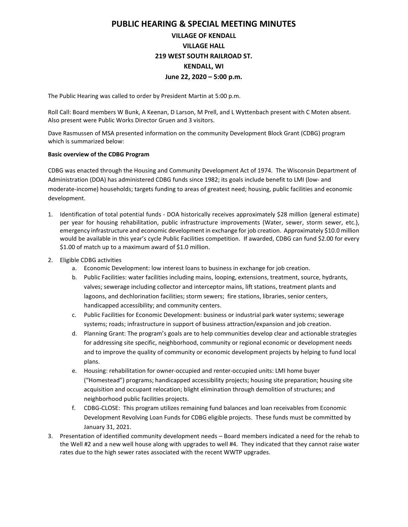## PUBLIC HEARING & SPECIAL MEETING MINUTES

## VILLAGE OF KENDALL VILLAGE HALL 219 WEST SOUTH RAILROAD ST. KENDALL, WI June 22, 2020 – 5:00 p.m.

The Public Hearing was called to order by President Martin at 5:00 p.m.

Roll Call: Board members W Bunk, A Keenan, D Larson, M Prell, and L Wyttenbach present with C Moten absent. Also present were Public Works Director Gruen and 3 visitors.

Dave Rasmussen of MSA presented information on the community Development Block Grant (CDBG) program which is summarized below:

## Basic overview of the CDBG Program

CDBG was enacted through the Housing and Community Development Act of 1974. The Wisconsin Department of Administration (DOA) has administered CDBG funds since 1982; its goals include benefit to LMI (low- and moderate-income) households; targets funding to areas of greatest need; housing, public facilities and economic development.

- 1. Identification of total potential funds DOA historically receives approximately \$28 million (general estimate) per year for housing rehabilitation, public infrastructure improvements (Water, sewer, storm sewer, etc.), emergency infrastructure and economic development in exchange for job creation. Approximately \$10.0 million would be available in this year's cycle Public Facilities competition. If awarded, CDBG can fund \$2.00 for every \$1.00 of match up to a maximum award of \$1.0 million.
- 2. Eligible CDBG activities
	- a. Economic Development: low interest loans to business in exchange for job creation.
	- b. Public Facilities: water facilities including mains, looping, extensions, treatment, source, hydrants, valves; sewerage including collector and interceptor mains, lift stations, treatment plants and lagoons, and dechlorination facilities; storm sewers; fire stations, libraries, senior centers, handicapped accessibility; and community centers.
	- c. Public Facilities for Economic Development: business or industrial park water systems; sewerage systems; roads; infrastructure in support of business attraction/expansion and job creation.
	- d. Planning Grant: The program's goals are to help communities develop clear and actionable strategies for addressing site specific, neighborhood, community or regional economic or development needs and to improve the quality of community or economic development projects by helping to fund local plans.
	- e. Housing: rehabilitation for owner-occupied and renter-occupied units: LMI home buyer ("Homestead") programs; handicapped accessibility projects; housing site preparation; housing site acquisition and occupant relocation; blight elimination through demolition of structures; and neighborhood public facilities projects.
	- f. CDBG-CLOSE: This program utilizes remaining fund balances and loan receivables from Economic Development Revolving Loan Funds for CDBG eligible projects. These funds must be committed by January 31, 2021.
- 3. Presentation of identified community development needs Board members indicated a need for the rehab to the Well #2 and a new well house along with upgrades to well #4. They indicated that they cannot raise water rates due to the high sewer rates associated with the recent WWTP upgrades.